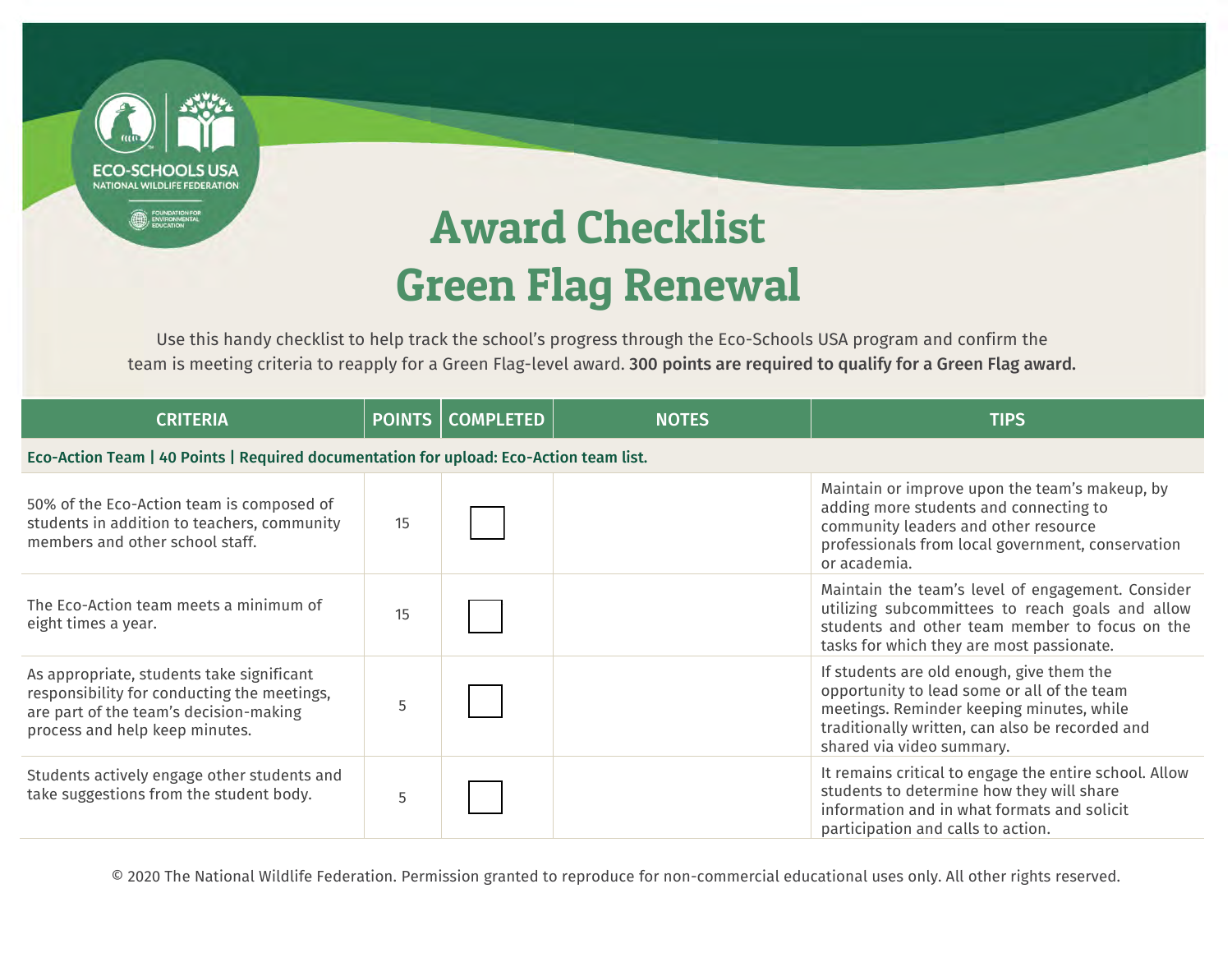NATIONAL WILDLIFE FEDERATION

## Award Checklist Green Flag Renewal

Use this handy checklist to help track the school's progress through the Eco-Schools USA program and confirm the team is meeting criteria to reapply for a Green Flag-level award. 300 points are required to qualify for a Green Flag award.

| <b>CRITERIA</b>                                                                                                                                                      |    | <b>POINTS   COMPLETED</b> | <b>NOTES</b> | <b>TIPS</b>                                                                                                                                                                                                           |
|----------------------------------------------------------------------------------------------------------------------------------------------------------------------|----|---------------------------|--------------|-----------------------------------------------------------------------------------------------------------------------------------------------------------------------------------------------------------------------|
| Eco-Action Team   40 Points   Required documentation for upload: Eco-Action team list.                                                                               |    |                           |              |                                                                                                                                                                                                                       |
| 50% of the Eco-Action team is composed of<br>students in addition to teachers, community<br>members and other school staff.                                          | 15 |                           |              | Maintain or improve upon the team's makeup, by<br>adding more students and connecting to<br>community leaders and other resource<br>professionals from local government, conservation<br>or academia.                 |
| The Eco-Action team meets a minimum of<br>eight times a year.                                                                                                        | 15 |                           |              | Maintain the team's level of engagement. Consider<br>utilizing subcommittees to reach goals and allow<br>students and other team member to focus on the<br>tasks for which they are most passionate.                  |
| As appropriate, students take significant<br>responsibility for conducting the meetings,<br>are part of the team's decision-making<br>process and help keep minutes. | 5  |                           |              | If students are old enough, give them the<br>opportunity to lead some or all of the team<br>meetings. Reminder keeping minutes, while<br>traditionally written, can also be recorded and<br>shared via video summary. |
| Students actively engage other students and<br>take suggestions from the student body.                                                                               | 5  |                           |              | It remains critical to engage the entire school. Allow<br>students to determine how they will share<br>information and in what formats and solicit<br>participation and calls to action.                              |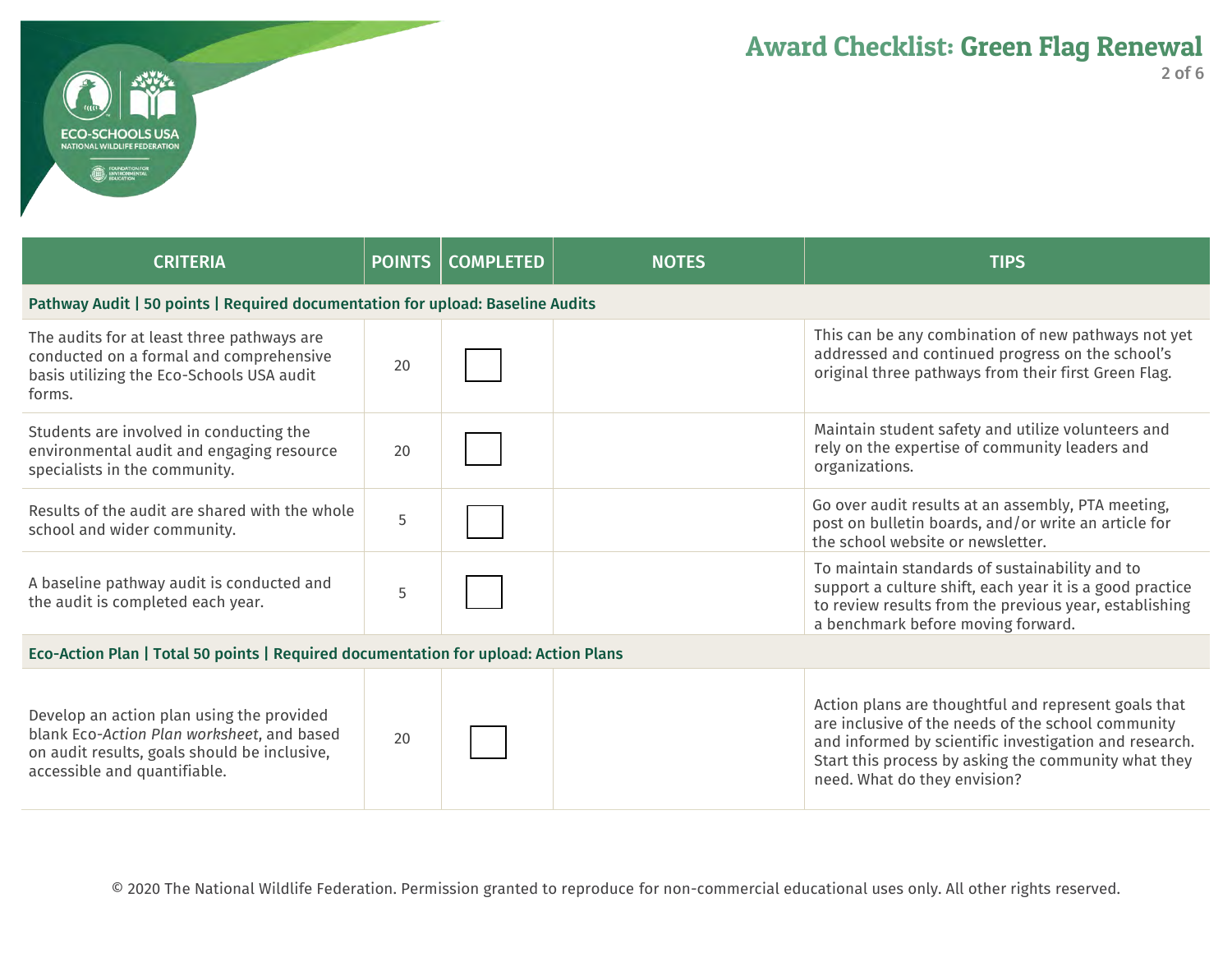| <b>CRITERIA</b>                                                                                                                                                         |    | <b>POINTS   COMPLETED</b> | <b>NOTES</b> | <b>TIPS</b>                                                                                                                                                                                                                                                  |  |
|-------------------------------------------------------------------------------------------------------------------------------------------------------------------------|----|---------------------------|--------------|--------------------------------------------------------------------------------------------------------------------------------------------------------------------------------------------------------------------------------------------------------------|--|
| Pathway Audit   50 points   Required documentation for upload: Baseline Audits                                                                                          |    |                           |              |                                                                                                                                                                                                                                                              |  |
| The audits for at least three pathways are<br>conducted on a formal and comprehensive<br>basis utilizing the Eco-Schools USA audit<br>forms.                            | 20 |                           |              | This can be any combination of new pathways not yet<br>addressed and continued progress on the school's<br>original three pathways from their first Green Flag.                                                                                              |  |
| Students are involved in conducting the<br>environmental audit and engaging resource<br>specialists in the community.                                                   | 20 |                           |              | Maintain student safety and utilize volunteers and<br>rely on the expertise of community leaders and<br>organizations.                                                                                                                                       |  |
| Results of the audit are shared with the whole<br>school and wider community.                                                                                           | 5  |                           |              | Go over audit results at an assembly, PTA meeting,<br>post on bulletin boards, and/or write an article for<br>the school website or newsletter.                                                                                                              |  |
| A baseline pathway audit is conducted and<br>the audit is completed each year.                                                                                          | 5  |                           |              | To maintain standards of sustainability and to<br>support a culture shift, each year it is a good practice<br>to review results from the previous year, establishing<br>a benchmark before moving forward.                                                   |  |
| Eco-Action Plan   Total 50 points   Required documentation for upload: Action Plans                                                                                     |    |                           |              |                                                                                                                                                                                                                                                              |  |
| Develop an action plan using the provided<br>blank Eco-Action Plan worksheet, and based<br>on audit results, goals should be inclusive,<br>accessible and quantifiable. | 20 |                           |              | Action plans are thoughtful and represent goals that<br>are inclusive of the needs of the school community<br>and informed by scientific investigation and research.<br>Start this process by asking the community what they<br>need. What do they envision? |  |

CHOOLS LISZ **ILDLIFE FEDERATION**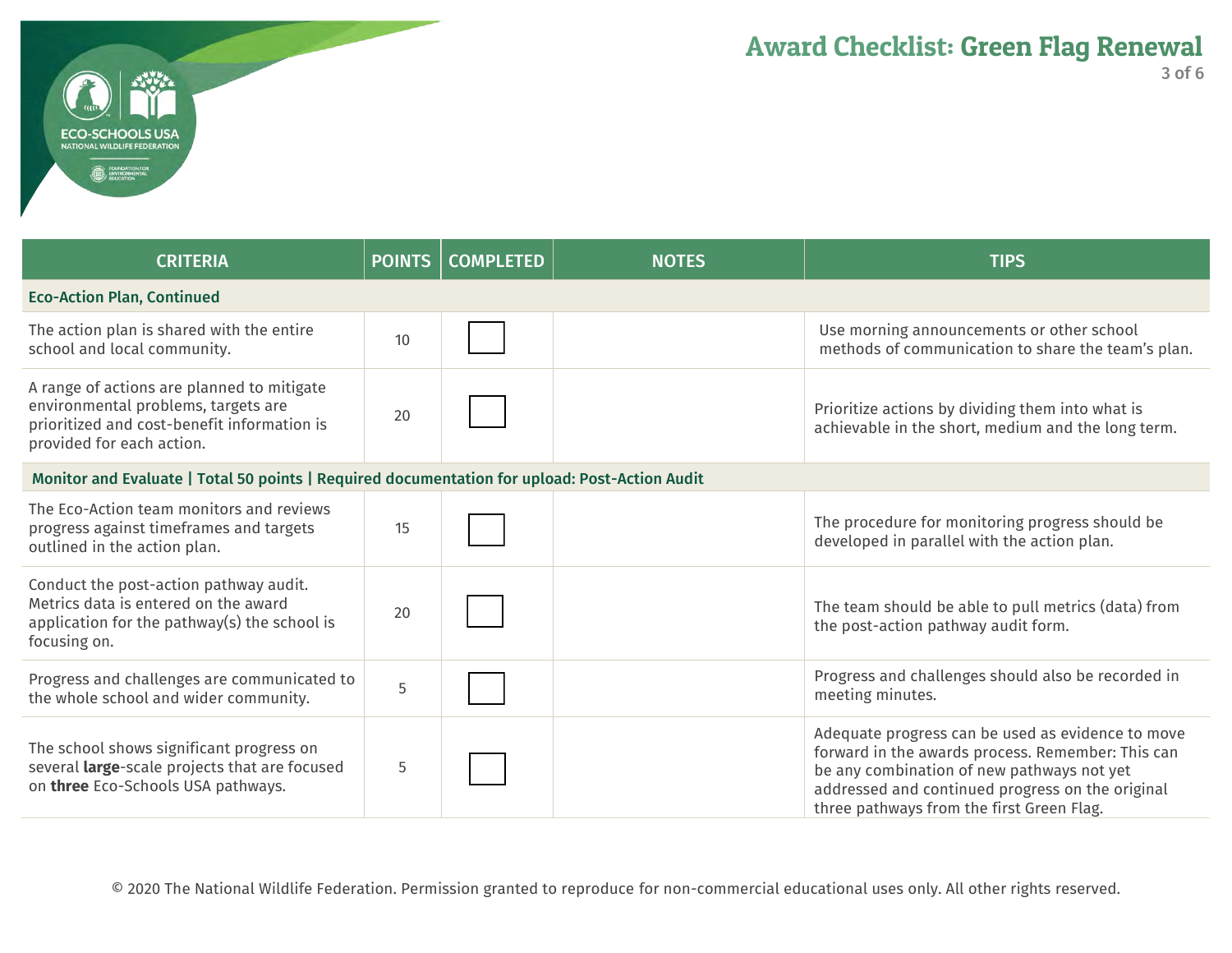| <b>CRITERIA</b>                                                                                                                                               | POINTS | <b>COMPLETED</b> | <b>NOTES</b> | <b>TIPS</b>                                                                                                                                                                                                                                           |  |
|---------------------------------------------------------------------------------------------------------------------------------------------------------------|--------|------------------|--------------|-------------------------------------------------------------------------------------------------------------------------------------------------------------------------------------------------------------------------------------------------------|--|
| <b>Eco-Action Plan, Continued</b>                                                                                                                             |        |                  |              |                                                                                                                                                                                                                                                       |  |
| The action plan is shared with the entire<br>school and local community.                                                                                      | 10     |                  |              | Use morning announcements or other school<br>methods of communication to share the team's plan.                                                                                                                                                       |  |
| A range of actions are planned to mitigate<br>environmental problems, targets are<br>prioritized and cost-benefit information is<br>provided for each action. | 20     |                  |              | Prioritize actions by dividing them into what is<br>achievable in the short, medium and the long term.                                                                                                                                                |  |
| Monitor and Evaluate   Total 50 points   Required documentation for upload: Post-Action Audit                                                                 |        |                  |              |                                                                                                                                                                                                                                                       |  |
| The Eco-Action team monitors and reviews<br>progress against timeframes and targets<br>outlined in the action plan.                                           | 15     |                  |              | The procedure for monitoring progress should be<br>developed in parallel with the action plan.                                                                                                                                                        |  |
| Conduct the post-action pathway audit.<br>Metrics data is entered on the award<br>application for the pathway(s) the school is<br>focusing on.                | 20     |                  |              | The team should be able to pull metrics (data) from<br>the post-action pathway audit form.                                                                                                                                                            |  |
| Progress and challenges are communicated to<br>the whole school and wider community.                                                                          | 5      |                  |              | Progress and challenges should also be recorded in<br>meeting minutes.                                                                                                                                                                                |  |
| The school shows significant progress on<br>several large-scale projects that are focused<br>on three Eco-Schools USA pathways.                               | 5      |                  |              | Adequate progress can be used as evidence to move<br>forward in the awards process. Remember: This can<br>be any combination of new pathways not yet<br>addressed and continued progress on the original<br>three pathways from the first Green Flag. |  |

**ECO-SCHOOLS USA** NATIONAL WILDLIFE FEDERATION **B** FOUNDATION FOR

I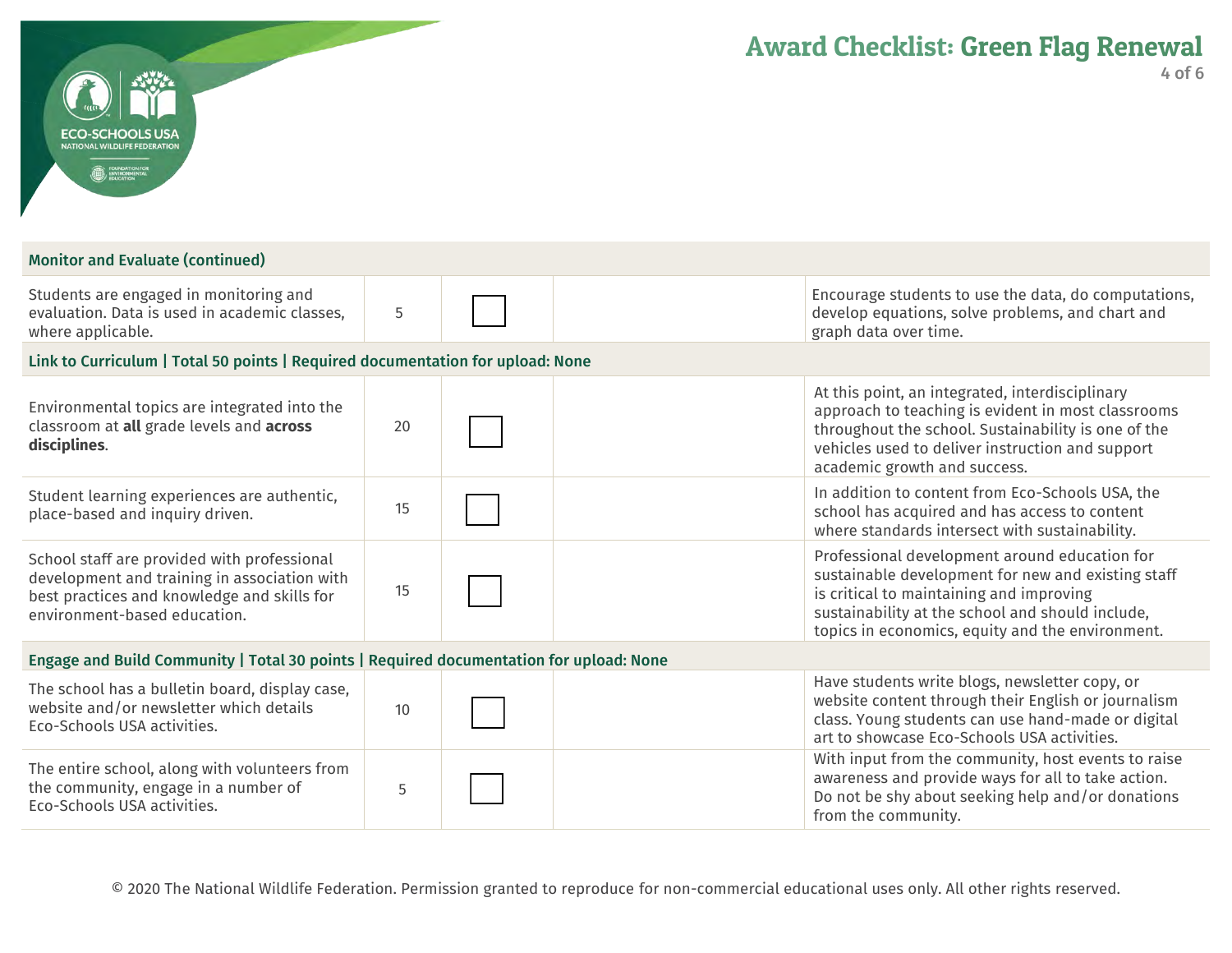| m |                                                                               |  |
|---|-------------------------------------------------------------------------------|--|
|   | <b>ECO-SCHOOLS USA</b>                                                        |  |
|   | NATIONAL WILDLIFE FEDERATION<br><b>FOUNDATION FOR</b><br><b>ENVIRONMENTAL</b> |  |

## Monitor and Evaluate (continued)

| Students are engaged in monitoring and<br>evaluation. Data is used in academic classes,<br>where applicable. |    | Encourage students to use the data, do computations,<br>develop equations, solve problems, and chart and<br>graph data over time.                                                                                |
|--------------------------------------------------------------------------------------------------------------|----|------------------------------------------------------------------------------------------------------------------------------------------------------------------------------------------------------------------|
| Link to Curriculum   Total 50 points   Required documentation for upload: None                               |    |                                                                                                                                                                                                                  |
| Environmental topics are integrated into the<br>classroom at all grade levels and across<br>disciplines.     | 20 | At this point, an integrated, interdisciplinary<br>approach to teaching is evident in most classrooms<br>throughout the school. Sustainability is one of the<br>vehicles used to deliver instruction and support |

|                                                                                                                                                                            |    | academic growth and success.                                                                                                                                                                                                                            |
|----------------------------------------------------------------------------------------------------------------------------------------------------------------------------|----|---------------------------------------------------------------------------------------------------------------------------------------------------------------------------------------------------------------------------------------------------------|
| Student learning experiences are authentic,<br>place-based and inquiry driven.                                                                                             | 15 | In addition to content from Eco-Schools USA, the<br>school has acquired and has access to content<br>where standards intersect with sustainability.                                                                                                     |
| School staff are provided with professional<br>development and training in association with<br>best practices and knowledge and skills for<br>environment-based education. | 15 | Professional development around education for<br>sustainable development for new and existing staff<br>is critical to maintaining and improving<br>sustainability at the school and should include,<br>topics in economics, equity and the environment. |

## Engage and Build Community | Total 30 points | Required documentation for upload: None

| The school has a bulletin board, display case,<br>website and/or newsletter which details<br>Eco-Schools USA activities. | 10 | Have students write blogs, newsletter copy, or<br>website content through their English or journalism<br>class. Young students can use hand-made or digital<br>art to showcase Eco-Schools USA activities. |
|--------------------------------------------------------------------------------------------------------------------------|----|------------------------------------------------------------------------------------------------------------------------------------------------------------------------------------------------------------|
| The entire school, along with volunteers from<br>the community, engage in a number of<br>Eco-Schools USA activities.     |    | With input from the community, host events to raise<br>awareness and provide ways for all to take action.<br>Do not be shy about seeking help and/or donations<br>from the community.                      |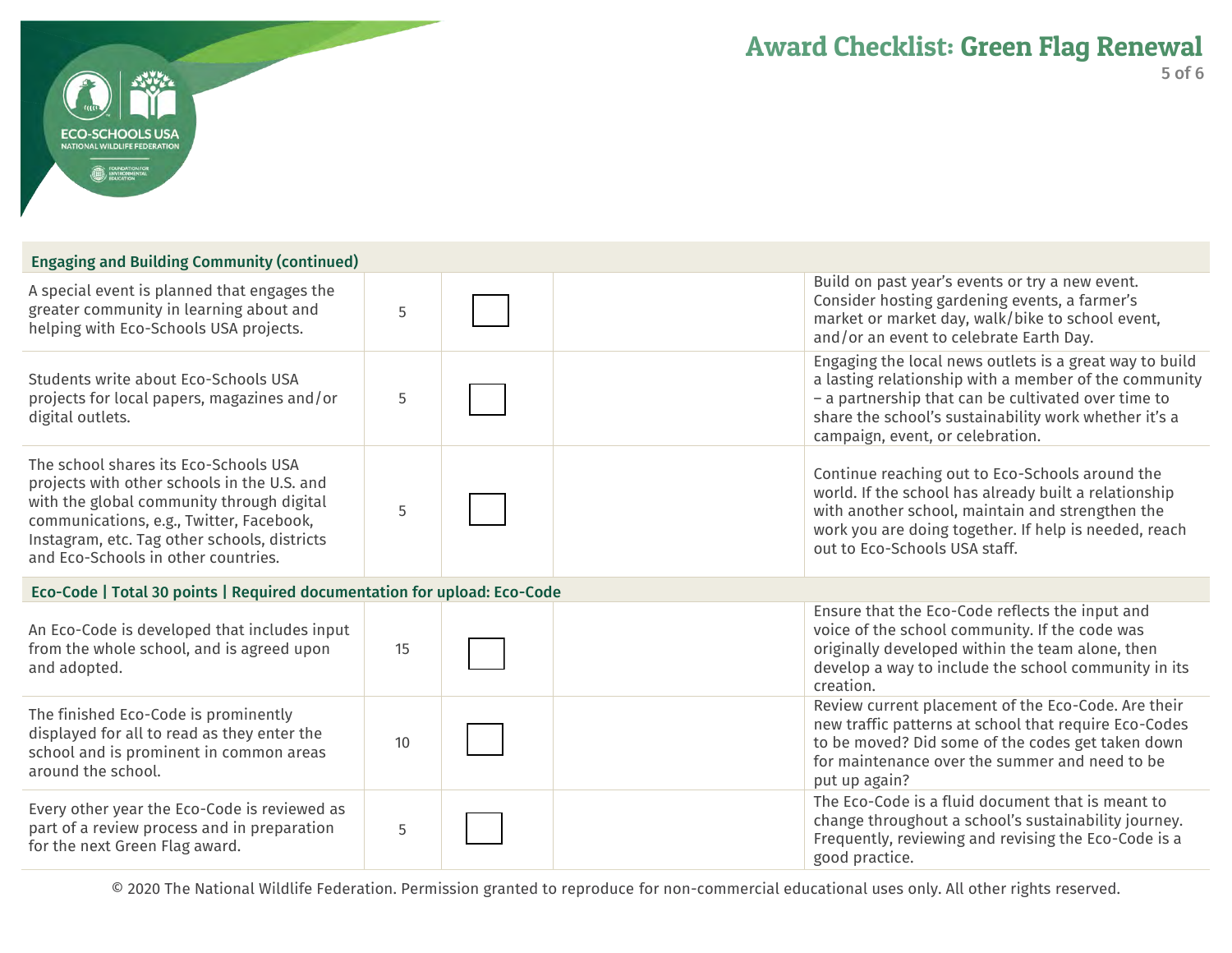| <b>Engaging and Building Community (continued)</b> |
|----------------------------------------------------|
|----------------------------------------------------|

**FCO-SCHOOLS USA L WILDLIFE FEDERATION** 

| A special event is planned that engages the<br>greater community in learning about and<br>helping with Eco-Schools USA projects.                                                                                                                                     | 5  | Build on past year's events or try a new event.<br>Consider hosting gardening events, a farmer's<br>market or market day, walk/bike to school event,<br>and/or an event to celebrate Earth Day.                                                                      |
|----------------------------------------------------------------------------------------------------------------------------------------------------------------------------------------------------------------------------------------------------------------------|----|----------------------------------------------------------------------------------------------------------------------------------------------------------------------------------------------------------------------------------------------------------------------|
| Students write about Eco-Schools USA<br>projects for local papers, magazines and/or<br>digital outlets.                                                                                                                                                              | 5  | Engaging the local news outlets is a great way to build<br>a lasting relationship with a member of the community<br>- a partnership that can be cultivated over time to<br>share the school's sustainability work whether it's a<br>campaign, event, or celebration. |
| The school shares its Eco-Schools USA<br>projects with other schools in the U.S. and<br>with the global community through digital<br>communications, e.g., Twitter, Facebook,<br>Instagram, etc. Tag other schools, districts<br>and Eco-Schools in other countries. | 5  | Continue reaching out to Eco-Schools around the<br>world. If the school has already built a relationship<br>with another school, maintain and strengthen the<br>work you are doing together. If help is needed, reach<br>out to Eco-Schools USA staff.               |
| Eco-Code   Total 30 points   Required documentation for upload: Eco-Code                                                                                                                                                                                             |    |                                                                                                                                                                                                                                                                      |
| An Eco-Code is developed that includes input<br>from the whole school, and is agreed upon<br>and adopted.                                                                                                                                                            | 15 | Ensure that the Eco-Code reflects the input and<br>voice of the school community. If the code was<br>originally developed within the team alone, then<br>develop a way to include the school community in its<br>creation.                                           |
| The finished Eco-Code is prominently<br>displayed for all to read as they enter the<br>school and is prominent in common areas<br>around the school.                                                                                                                 | 10 | Review current placement of the Eco-Code. Are their<br>new traffic patterns at school that require Eco-Codes<br>to be moved? Did some of the codes get taken down<br>for maintenance over the summer and need to be<br>put up again?                                 |
| Every other year the Eco-Code is reviewed as<br>part of a review process and in preparation<br>for the next Green Flag award.                                                                                                                                        | 5  | The Eco-Code is a fluid document that is meant to<br>change throughout a school's sustainability journey.<br>Frequently, reviewing and revising the Eco-Code is a<br>good practice.                                                                                  |